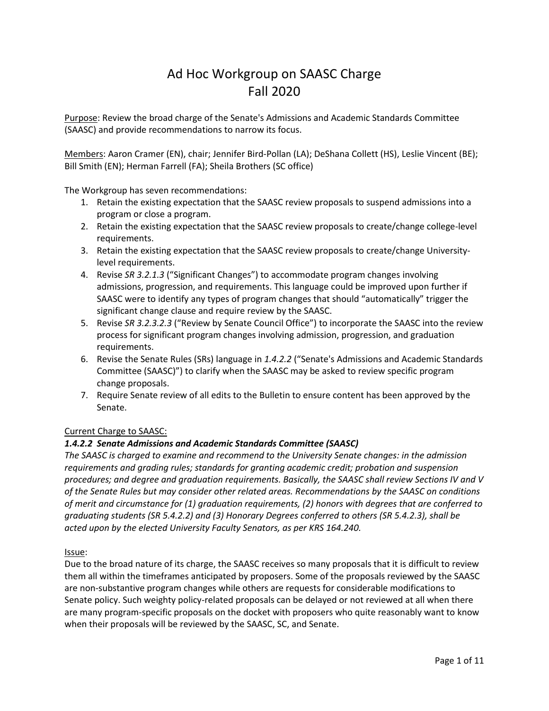# Ad Hoc Workgroup on SAASC Charge Fall 2020

Purpose: Review the broad charge of the Senate's Admissions and Academic Standards Committee (SAASC) and provide recommendations to narrow its focus.

Members: Aaron Cramer (EN), chair; Jennifer Bird-Pollan (LA); DeShana Collett (HS), Leslie Vincent (BE); Bill Smith (EN); Herman Farrell (FA); Sheila Brothers (SC office)

The Workgroup has seven recommendations:

- 1. Retain the existing expectation that the SAASC review proposals to suspend admissions into a program or close a program.
- 2. Retain the existing expectation that the SAASC review proposals to create/change college-level requirements.
- 3. Retain the existing expectation that the SAASC review proposals to create/change Universitylevel requirements.
- 4. Revise *SR 3.2.1.3* ("Significant Changes") to accommodate program changes involving admissions, progression, and requirements. This language could be improved upon further if SAASC were to identify any types of program changes that should "automatically" trigger the significant change clause and require review by the SAASC.
- 5. Revise *SR 3.2.3.2.3* ("Review by Senate Council Office") to incorporate the SAASC into the review process for significant program changes involving admission, progression, and graduation requirements.
- 6. Revise the Senate Rules (SRs) language in *1.4.2.2* ("Senate's Admissions and Academic Standards Committee (SAASC)") to clarify when the SAASC may be asked to review specific program change proposals.
- 7. Require Senate review of all edits to the Bulletin to ensure content has been approved by the Senate.

# Current Charge to SAASC:

# *1.4.2.2 Senate Admissions and Academic Standards Committee (SAASC)*

*The SAASC is charged to examine and recommend to the University Senate changes: in the admission requirements and grading rules; standards for granting academic credit; probation and suspension procedures; and degree and graduation requirements. Basically, the SAASC shall review Sections IV and V of the Senate Rules but may consider other related areas. Recommendations by the SAASC on conditions of merit and circumstance for (1) graduation requirements, (2) honors with degrees that are conferred to graduating students (SR 5.4.2.2) and (3) Honorary Degrees conferred to others (SR 5.4.2.3), shall be acted upon by the elected University Faculty Senators, as per KRS 164.240.*

### Issue:

Due to the broad nature of its charge, the SAASC receives so many proposals that it is difficult to review them all within the timeframes anticipated by proposers. Some of the proposals reviewed by the SAASC are non-substantive program changes while others are requests for considerable modifications to Senate policy. Such weighty policy-related proposals can be delayed or not reviewed at all when there are many program-specific proposals on the docket with proposers who quite reasonably want to know when their proposals will be reviewed by the SAASC, SC, and Senate.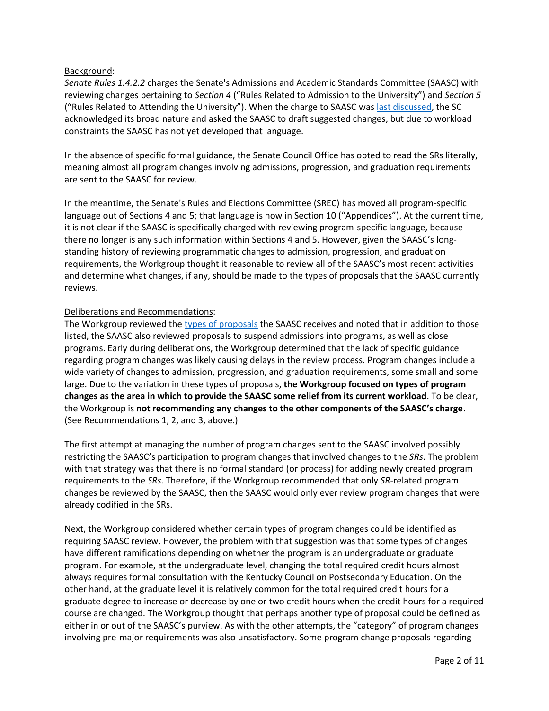### Background:

*Senate Rules 1.4.2.2* charges the Senate's Admissions and Academic Standards Committee (SAASC) with reviewing changes pertaining to *Section 4* ("Rules Related to Admission to the University") and *Section 5* ("Rules Related to Attending the University"). When the charge to SAASC was [last discussed,](https://www.uky.edu/universitysenate/council/2015-10-26) the SC acknowledged its broad nature and asked the SAASC to draft suggested changes, but due to workload constraints the SAASC has not yet developed that language.

In the absence of specific formal guidance, the Senate Council Office has opted to read the SRs literally, meaning almost all program changes involving admissions, progression, and graduation requirements are sent to the SAASC for review.

In the meantime, the Senate's Rules and Elections Committee (SREC) has moved all program-specific language out of Sections 4 and 5; that language is now in Section 10 ("Appendices"). At the current time, it is not clear if the SAASC is specifically charged with reviewing program-specific language, because there no longer is any such information within Sections 4 and 5. However, given the SAASC's longstanding history of reviewing programmatic changes to admission, progression, and graduation requirements, the Workgroup thought it reasonable to review all of the SAASC's most recent activities and determine what changes, if any, should be made to the types of proposals that the SAASC currently reviews.

#### Deliberations and Recommendations:

The Workgroup reviewed th[e types of proposals](https://www.uky.edu/universitysenate/sites/www.uky.edu.universitysenate/files/sc/2019-20/20200622/Types%20of%20SAASC%20Changes_toSC.pdf) the SAASC receives and noted that in addition to those listed, the SAASC also reviewed proposals to suspend admissions into programs, as well as close programs. Early during deliberations, the Workgroup determined that the lack of specific guidance regarding program changes was likely causing delays in the review process. Program changes include a wide variety of changes to admission, progression, and graduation requirements, some small and some large. Due to the variation in these types of proposals, **the Workgroup focused on types of program changes as the area in which to provide the SAASC some relief from its current workload**. To be clear, the Workgroup is **not recommending any changes to the other components of the SAASC's charge**. (See Recommendations 1, 2, and 3, above.)

The first attempt at managing the number of program changes sent to the SAASC involved possibly restricting the SAASC's participation to program changes that involved changes to the *SRs*. The problem with that strategy was that there is no formal standard (or process) for adding newly created program requirements to the *SRs*. Therefore, if the Workgroup recommended that only *SR*-related program changes be reviewed by the SAASC, then the SAASC would only ever review program changes that were already codified in the SRs.

Next, the Workgroup considered whether certain types of program changes could be identified as requiring SAASC review. However, the problem with that suggestion was that some types of changes have different ramifications depending on whether the program is an undergraduate or graduate program. For example, at the undergraduate level, changing the total required credit hours almost always requires formal consultation with the Kentucky Council on Postsecondary Education. On the other hand, at the graduate level it is relatively common for the total required credit hours for a graduate degree to increase or decrease by one or two credit hours when the credit hours for a required course are changed. The Workgroup thought that perhaps another type of proposal could be defined as either in or out of the SAASC's purview. As with the other attempts, the "category" of program changes involving pre-major requirements was also unsatisfactory. Some program change proposals regarding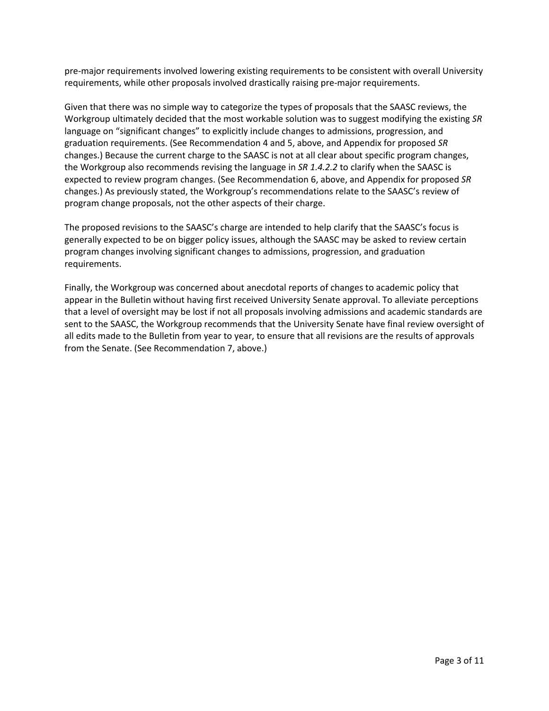pre-major requirements involved lowering existing requirements to be consistent with overall University requirements, while other proposals involved drastically raising pre-major requirements.

Given that there was no simple way to categorize the types of proposals that the SAASC reviews, the Workgroup ultimately decided that the most workable solution was to suggest modifying the existing *SR* language on "significant changes" to explicitly include changes to admissions, progression, and graduation requirements. (See Recommendation 4 and 5, above, and Appendix for proposed *SR*  changes.) Because the current charge to the SAASC is not at all clear about specific program changes, the Workgroup also recommends revising the language in *SR 1.4.2.2* to clarify when the SAASC is expected to review program changes. (See Recommendation 6, above, and Appendix for proposed *SR*  changes.) As previously stated, the Workgroup's recommendations relate to the SAASC's review of program change proposals, not the other aspects of their charge.

The proposed revisions to the SAASC's charge are intended to help clarify that the SAASC's focus is generally expected to be on bigger policy issues, although the SAASC may be asked to review certain program changes involving significant changes to admissions, progression, and graduation requirements.

Finally, the Workgroup was concerned about anecdotal reports of changes to academic policy that appear in the Bulletin without having first received University Senate approval. To alleviate perceptions that a level of oversight may be lost if not all proposals involving admissions and academic standards are sent to the SAASC, the Workgroup recommends that the University Senate have final review oversight of all edits made to the Bulletin from year to year, to ensure that all revisions are the results of approvals from the Senate. (See Recommendation 7, above.)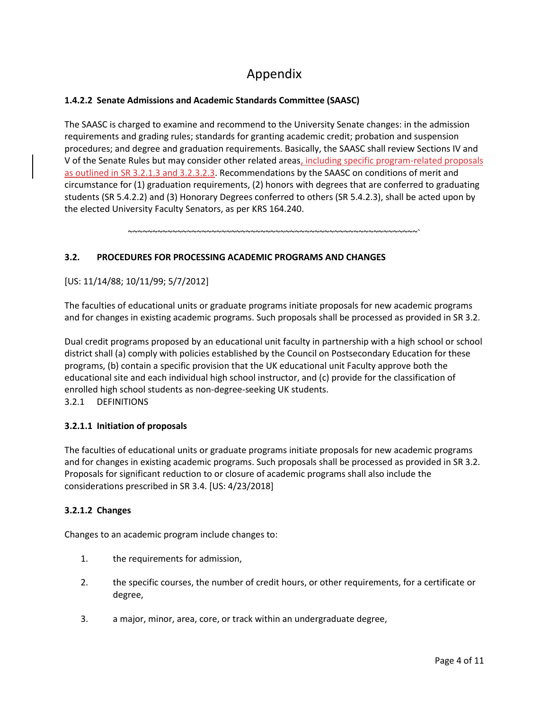# Appendix

# **1.4.2.2 Senate Admissions and Academic Standards Committee (SAASC)**

The SAASC is charged to examine and recommend to the University Senate changes: in the admission requirements and grading rules; standards for granting academic credit; probation and suspension procedures; and degree and graduation requirements. Basically, the SAASC shall review Sections IV and V of the Senate Rules but may consider other related areas, including specific program-related proposals as outlined in SR 3.2.1.3 and 3.2.3.2.3. Recommendations by the SAASC on conditions of merit and circumstance for (1) graduation requirements, (2) honors with degrees that are conferred to graduating students (SR 5.4.2.2) and (3) Honorary Degrees conferred to others (SR 5.4.2.3), shall be acted upon by the elected University Faculty Senators, as per KRS 164.240.

~~~~~~~~~~~~~~~~~~~~~~~~~~~~~~~~~~~~~~~~~~~~~~~~~~~~~~~~~~~`

### **3.2. PROCEDURES FOR PROCESSING ACADEMIC PROGRAMS AND CHANGES**

[US: 11/14/88; 10/11/99; 5/7/2012]

The faculties of educational units or graduate programs initiate proposals for new academic programs and for changes in existing academic programs. Such proposals shall be processed as provided in SR 3.2.

Dual credit programs proposed by an educational unit faculty in partnership with a high school or school district shall (a) comply with policies established by the Council on Postsecondary Education for these programs, (b) contain a specific provision that the UK educational unit Faculty approve both the educational site and each individual high school instructor, and (c) provide for the classification of enrolled high school students as non-degree-seeking UK students. 3.2.1 DEFINITIONS

### **3.2.1.1 Initiation of proposals**

The faculties of educational units or graduate programs initiate proposals for new academic programs and for changes in existing academic programs. Such proposals shall be processed as provided in SR 3.2. Proposals for significant reduction to or closure of academic programs shall also include the considerations prescribed in SR 3.4. [US: 4/23/2018]

### **3.2.1.2 Changes**

Changes to an academic program include changes to:

- 1. the requirements for admission,
- 2. the specific courses, the number of credit hours, or other requirements, for a certificate or degree,
- 3. a major, minor, area, core, or track within an undergraduate degree,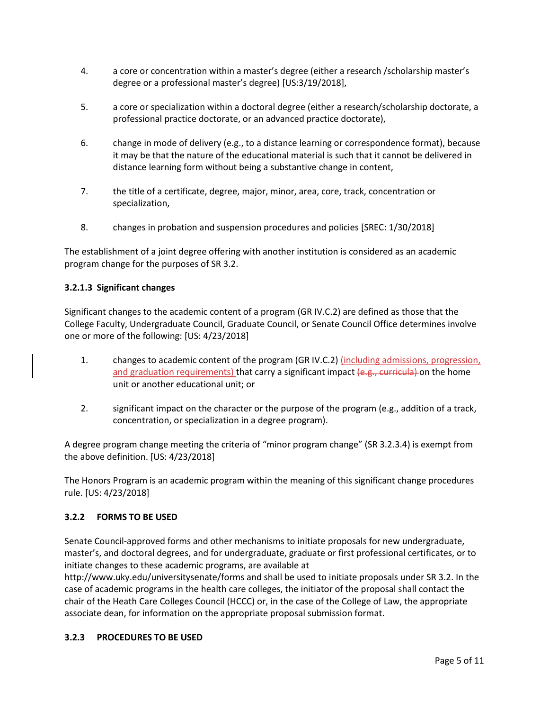- 4. a core or concentration within a master's degree (either a research /scholarship master's degree or a professional master's degree) [US:3/19/2018],
- 5. a core or specialization within a doctoral degree (either a research/scholarship doctorate, a professional practice doctorate, or an advanced practice doctorate),
- 6. change in mode of delivery (e.g., to a distance learning or correspondence format), because it may be that the nature of the educational material is such that it cannot be delivered in distance learning form without being a substantive change in content,
- 7. the title of a certificate, degree, major, minor, area, core, track, concentration or specialization,
- 8. changes in probation and suspension procedures and policies [SREC: 1/30/2018]

The establishment of a joint degree offering with another institution is considered as an academic program change for the purposes of SR 3.2.

### **3.2.1.3 Significant changes**

Significant changes to the academic content of a program (GR IV.C.2) are defined as those that the College Faculty, Undergraduate Council, Graduate Council, or Senate Council Office determines involve one or more of the following: [US: 4/23/2018]

- 1. changes to academic content of the program (GR IV.C.2) *(including admissions, progression,* and graduation requirements) that carry a significant impact (e.g., curricula) on the home unit or another educational unit; or
- 2. significant impact on the character or the purpose of the program (e.g., addition of a track, concentration, or specialization in a degree program).

A degree program change meeting the criteria of "minor program change" (SR 3.2.3.4) is exempt from the above definition. [US: 4/23/2018]

The Honors Program is an academic program within the meaning of this significant change procedures rule. [US: 4/23/2018]

### **3.2.2 FORMS TO BE USED**

Senate Council-approved forms and other mechanisms to initiate proposals for new undergraduate, master's, and doctoral degrees, and for undergraduate, graduate or first professional certificates, or to initiate changes to these academic programs, are available at

http://www.uky.edu/universitysenate/forms and shall be used to initiate proposals under SR 3.2. In the case of academic programs in the health care colleges, the initiator of the proposal shall contact the chair of the Heath Care Colleges Council (HCCC) or, in the case of the College of Law, the appropriate associate dean, for information on the appropriate proposal submission format.

### **3.2.3 PROCEDURES TO BE USED**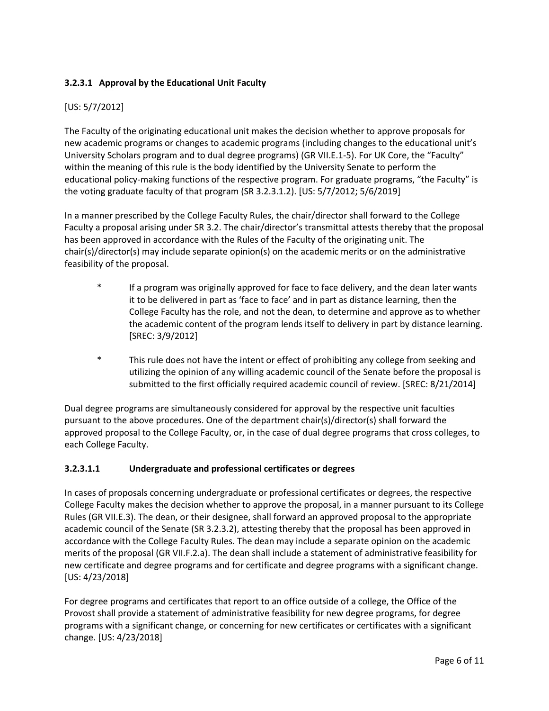# **3.2.3.1 Approval by the Educational Unit Faculty**

# [US: 5/7/2012]

The Faculty of the originating educational unit makes the decision whether to approve proposals for new academic programs or changes to academic programs (including changes to the educational unit's University Scholars program and to dual degree programs) (GR VII.E.1-5). For UK Core, the "Faculty" within the meaning of this rule is the body identified by the University Senate to perform the educational policy-making functions of the respective program. For graduate programs, "the Faculty" is the voting graduate faculty of that program (SR 3.2.3.1.2). [US: 5/7/2012; 5/6/2019]

In a manner prescribed by the College Faculty Rules, the chair/director shall forward to the College Faculty a proposal arising under SR 3.2. The chair/director's transmittal attests thereby that the proposal has been approved in accordance with the Rules of the Faculty of the originating unit. The chair(s)/director(s) may include separate opinion(s) on the academic merits or on the administrative feasibility of the proposal.

- \* If a program was originally approved for face to face delivery, and the dean later wants it to be delivered in part as 'face to face' and in part as distance learning, then the College Faculty has the role, and not the dean, to determine and approve as to whether the academic content of the program lends itself to delivery in part by distance learning. [SREC: 3/9/2012]
- \* This rule does not have the intent or effect of prohibiting any college from seeking and utilizing the opinion of any willing academic council of the Senate before the proposal is submitted to the first officially required academic council of review. [SREC: 8/21/2014]

Dual degree programs are simultaneously considered for approval by the respective unit faculties pursuant to the above procedures. One of the department chair(s)/director(s) shall forward the approved proposal to the College Faculty, or, in the case of dual degree programs that cross colleges, to each College Faculty.

# **3.2.3.1.1 Undergraduate and professional certificates or degrees**

In cases of proposals concerning undergraduate or professional certificates or degrees, the respective College Faculty makes the decision whether to approve the proposal, in a manner pursuant to its College Rules (GR VII.E.3). The dean, or their designee, shall forward an approved proposal to the appropriate academic council of the Senate (SR 3.2.3.2), attesting thereby that the proposal has been approved in accordance with the College Faculty Rules. The dean may include a separate opinion on the academic merits of the proposal (GR VII.F.2.a). The dean shall include a statement of administrative feasibility for new certificate and degree programs and for certificate and degree programs with a significant change. [US: 4/23/2018]

For degree programs and certificates that report to an office outside of a college, the Office of the Provost shall provide a statement of administrative feasibility for new degree programs, for degree programs with a significant change, or concerning for new certificates or certificates with a significant change. [US: 4/23/2018]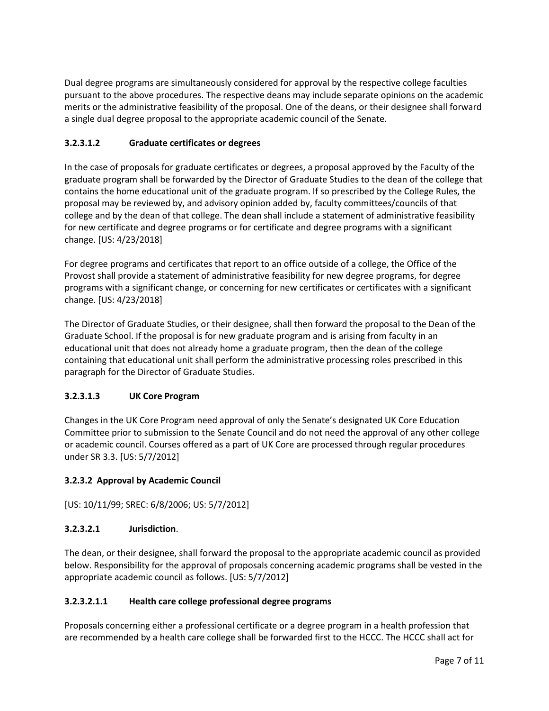Dual degree programs are simultaneously considered for approval by the respective college faculties pursuant to the above procedures. The respective deans may include separate opinions on the academic merits or the administrative feasibility of the proposal. One of the deans, or their designee shall forward a single dual degree proposal to the appropriate academic council of the Senate.

# **3.2.3.1.2 Graduate certificates or degrees**

In the case of proposals for graduate certificates or degrees, a proposal approved by the Faculty of the graduate program shall be forwarded by the Director of Graduate Studies to the dean of the college that contains the home educational unit of the graduate program. If so prescribed by the College Rules, the proposal may be reviewed by, and advisory opinion added by, faculty committees/councils of that college and by the dean of that college. The dean shall include a statement of administrative feasibility for new certificate and degree programs or for certificate and degree programs with a significant change. [US: 4/23/2018]

For degree programs and certificates that report to an office outside of a college, the Office of the Provost shall provide a statement of administrative feasibility for new degree programs, for degree programs with a significant change, or concerning for new certificates or certificates with a significant change. [US: 4/23/2018]

The Director of Graduate Studies, or their designee, shall then forward the proposal to the Dean of the Graduate School. If the proposal is for new graduate program and is arising from faculty in an educational unit that does not already home a graduate program, then the dean of the college containing that educational unit shall perform the administrative processing roles prescribed in this paragraph for the Director of Graduate Studies.

# **3.2.3.1.3 UK Core Program**

Changes in the UK Core Program need approval of only the Senate's designated UK Core Education Committee prior to submission to the Senate Council and do not need the approval of any other college or academic council. Courses offered as a part of UK Core are processed through regular procedures under SR 3.3. [US: 5/7/2012]

# **3.2.3.2 Approval by Academic Council**

[US: 10/11/99; SREC: 6/8/2006; US: 5/7/2012]

### **3.2.3.2.1 Jurisdiction**.

The dean, or their designee, shall forward the proposal to the appropriate academic council as provided below. Responsibility for the approval of proposals concerning academic programs shall be vested in the appropriate academic council as follows. [US: 5/7/2012]

### **3.2.3.2.1.1 Health care college professional degree programs**

Proposals concerning either a professional certificate or a degree program in a health profession that are recommended by a health care college shall be forwarded first to the HCCC. The HCCC shall act for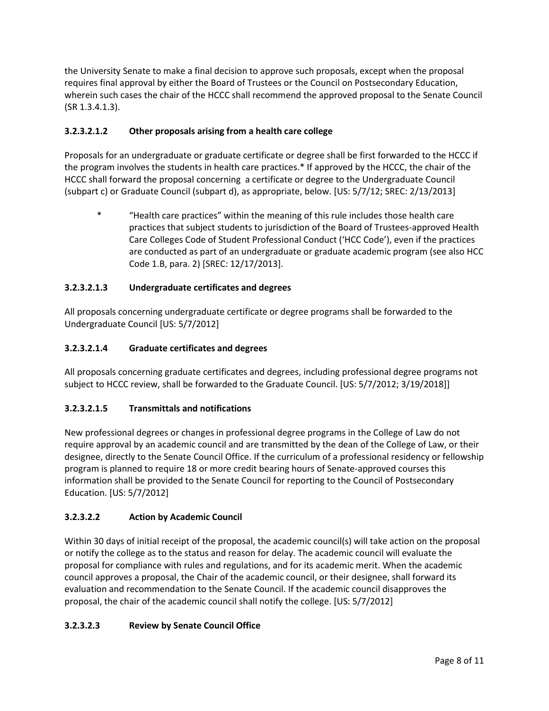the University Senate to make a final decision to approve such proposals, except when the proposal requires final approval by either the Board of Trustees or the Council on Postsecondary Education, wherein such cases the chair of the HCCC shall recommend the approved proposal to the Senate Council (SR 1.3.4.1.3).

# **3.2.3.2.1.2 Other proposals arising from a health care college**

Proposals for an undergraduate or graduate certificate or degree shall be first forwarded to the HCCC if the program involves the students in health care practices.\* If approved by the HCCC, the chair of the HCCC shall forward the proposal concerning a certificate or degree to the Undergraduate Council (subpart c) or Graduate Council (subpart d), as appropriate, below. [US: 5/7/12; SREC: 2/13/2013]

\* "Health care practices" within the meaning of this rule includes those health care practices that subject students to jurisdiction of the Board of Trustees-approved Health Care Colleges Code of Student Professional Conduct ('HCC Code'), even if the practices are conducted as part of an undergraduate or graduate academic program (see also HCC Code 1.B, para. 2) [SREC: 12/17/2013].

# **3.2.3.2.1.3 Undergraduate certificates and degrees**

All proposals concerning undergraduate certificate or degree programs shall be forwarded to the Undergraduate Council [US: 5/7/2012]

### **3.2.3.2.1.4 Graduate certificates and degrees**

All proposals concerning graduate certificates and degrees, including professional degree programs not subject to HCCC review, shall be forwarded to the Graduate Council. [US: 5/7/2012; 3/19/2018]]

# **3.2.3.2.1.5 Transmittals and notifications**

New professional degrees or changes in professional degree programs in the College of Law do not require approval by an academic council and are transmitted by the dean of the College of Law, or their designee, directly to the Senate Council Office. If the curriculum of a professional residency or fellowship program is planned to require 18 or more credit bearing hours of Senate-approved courses this information shall be provided to the Senate Council for reporting to the Council of Postsecondary Education. [US: 5/7/2012]

### **3.2.3.2.2 Action by Academic Council**

Within 30 days of initial receipt of the proposal, the academic council(s) will take action on the proposal or notify the college as to the status and reason for delay. The academic council will evaluate the proposal for compliance with rules and regulations, and for its academic merit. When the academic council approves a proposal, the Chair of the academic council, or their designee, shall forward its evaluation and recommendation to the Senate Council. If the academic council disapproves the proposal, the chair of the academic council shall notify the college. [US: 5/7/2012]

### **3.2.3.2.3 Review by Senate Council Office**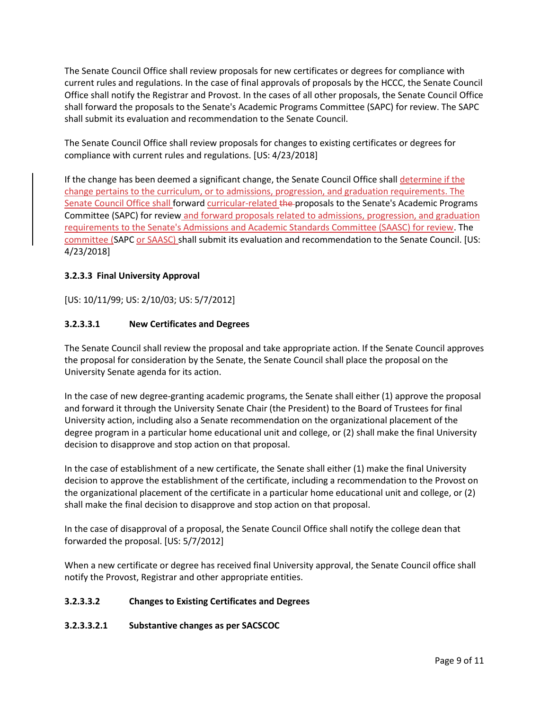The Senate Council Office shall review proposals for new certificates or degrees for compliance with current rules and regulations. In the case of final approvals of proposals by the HCCC, the Senate Council Office shall notify the Registrar and Provost. In the cases of all other proposals, the Senate Council Office shall forward the proposals to the Senate's Academic Programs Committee (SAPC) for review. The SAPC shall submit its evaluation and recommendation to the Senate Council.

The Senate Council Office shall review proposals for changes to existing certificates or degrees for compliance with current rules and regulations. [US: 4/23/2018]

If the change has been deemed a significant change, the Senate Council Office shall determine if the change pertains to the curriculum, or to admissions, progression, and graduation requirements. The Senate Council Office shall forward curricular-related the proposals to the Senate's Academic Programs Committee (SAPC) for review and forward proposals related to admissions, progression, and graduation requirements to the Senate's Admissions and Academic Standards Committee (SAASC) for review. The committee (SAPC or SAASC) shall submit its evaluation and recommendation to the Senate Council. [US: 4/23/2018]

### **3.2.3.3 Final University Approval**

[US: 10/11/99; US: 2/10/03; US: 5/7/2012]

### **3.2.3.3.1 New Certificates and Degrees**

The Senate Council shall review the proposal and take appropriate action. If the Senate Council approves the proposal for consideration by the Senate, the Senate Council shall place the proposal on the University Senate agenda for its action.

In the case of new degree-granting academic programs, the Senate shall either (1) approve the proposal and forward it through the University Senate Chair (the President) to the Board of Trustees for final University action, including also a Senate recommendation on the organizational placement of the degree program in a particular home educational unit and college, or (2) shall make the final University decision to disapprove and stop action on that proposal.

In the case of establishment of a new certificate, the Senate shall either (1) make the final University decision to approve the establishment of the certificate, including a recommendation to the Provost on the organizational placement of the certificate in a particular home educational unit and college, or (2) shall make the final decision to disapprove and stop action on that proposal.

In the case of disapproval of a proposal, the Senate Council Office shall notify the college dean that forwarded the proposal. [US: 5/7/2012]

When a new certificate or degree has received final University approval, the Senate Council office shall notify the Provost, Registrar and other appropriate entities.

### **3.2.3.3.2 Changes to Existing Certificates and Degrees**

### **3.2.3.3.2.1 Substantive changes as per SACSCOC**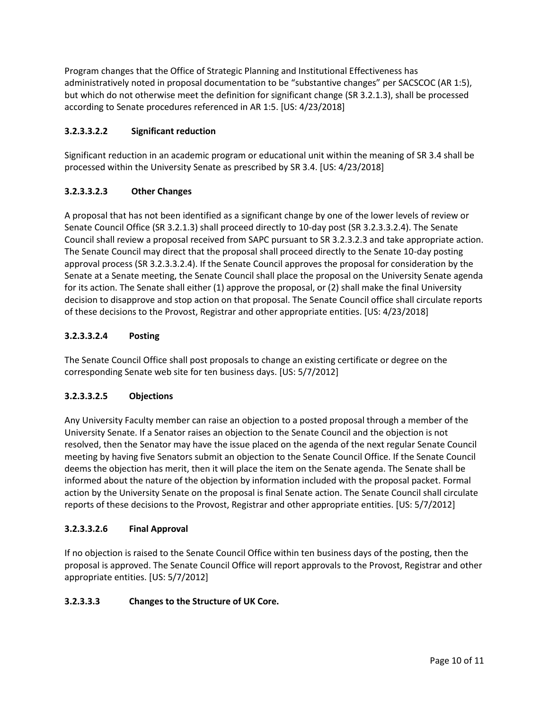Program changes that the Office of Strategic Planning and Institutional Effectiveness has administratively noted in proposal documentation to be "substantive changes" per SACSCOC (AR 1:5), but which do not otherwise meet the definition for significant change (SR 3.2.1.3), shall be processed according to Senate procedures referenced in AR 1:5. [US: 4/23/2018]

# **3.2.3.3.2.2 Significant reduction**

Significant reduction in an academic program or educational unit within the meaning of SR 3.4 shall be processed within the University Senate as prescribed by SR 3.4. [US: 4/23/2018]

# **3.2.3.3.2.3 Other Changes**

A proposal that has not been identified as a significant change by one of the lower levels of review or Senate Council Office (SR 3.2.1.3) shall proceed directly to 10-day post (SR 3.2.3.3.2.4). The Senate Council shall review a proposal received from SAPC pursuant to SR 3.2.3.2.3 and take appropriate action. The Senate Council may direct that the proposal shall proceed directly to the Senate 10-day posting approval process (SR 3.2.3.3.2.4). If the Senate Council approves the proposal for consideration by the Senate at a Senate meeting, the Senate Council shall place the proposal on the University Senate agenda for its action. The Senate shall either (1) approve the proposal, or (2) shall make the final University decision to disapprove and stop action on that proposal. The Senate Council office shall circulate reports of these decisions to the Provost, Registrar and other appropriate entities. [US: 4/23/2018]

# **3.2.3.3.2.4 Posting**

The Senate Council Office shall post proposals to change an existing certificate or degree on the corresponding Senate web site for ten business days. [US: 5/7/2012]

# **3.2.3.3.2.5 Objections**

Any University Faculty member can raise an objection to a posted proposal through a member of the University Senate. If a Senator raises an objection to the Senate Council and the objection is not resolved, then the Senator may have the issue placed on the agenda of the next regular Senate Council meeting by having five Senators submit an objection to the Senate Council Office. If the Senate Council deems the objection has merit, then it will place the item on the Senate agenda. The Senate shall be informed about the nature of the objection by information included with the proposal packet. Formal action by the University Senate on the proposal is final Senate action. The Senate Council shall circulate reports of these decisions to the Provost, Registrar and other appropriate entities. [US: 5/7/2012]

# **3.2.3.3.2.6 Final Approval**

If no objection is raised to the Senate Council Office within ten business days of the posting, then the proposal is approved. The Senate Council Office will report approvals to the Provost, Registrar and other appropriate entities. [US: 5/7/2012]

# **3.2.3.3.3 Changes to the Structure of UK Core.**